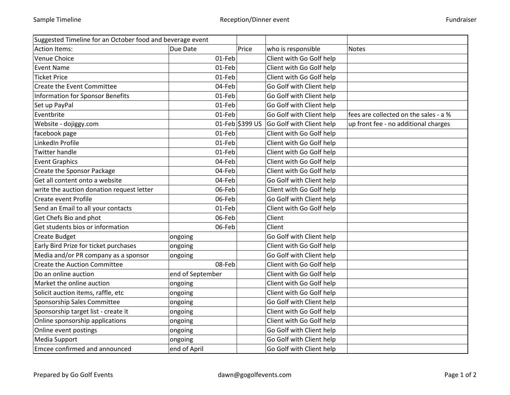| Suggested Timeline for an October food and beverage event |                  |                 |                          |                                       |
|-----------------------------------------------------------|------------------|-----------------|--------------------------|---------------------------------------|
| Action Items:                                             | Due Date         | Price           | who is responsible       | <b>Notes</b>                          |
| Venue Choice                                              | 01-Feb           |                 | Client with Go Golf help |                                       |
| <b>Event Name</b>                                         | 01-Feb           |                 | Client with Go Golf help |                                       |
| <b>Ticket Price</b>                                       | 01-Feb           |                 | Client with Go Golf help |                                       |
| <b>Create the Event Committee</b>                         | 04-Feb           |                 | Go Golf with Client help |                                       |
| Information for Sponsor Benefits                          | 01-Feb           |                 | Go Golf with Client help |                                       |
| Set up PayPal                                             | 01-Feb           |                 | Go Golf with Client help |                                       |
| Eventbrite                                                | 01-Feb           |                 | Go Golf with Client help | fees are collected on the sales - a % |
| Website - dojiggy.com                                     |                  | 01-Feb \$399 US | Go Golf with Client help | up front fee - no additional charges  |
| facebook page                                             | 01-Feb           |                 | Client with Go Golf help |                                       |
| LinkedIn Profile                                          | 01-Feb           |                 | Client with Go Golf help |                                       |
| <b>Twitter handle</b>                                     | 01-Feb           |                 | Client with Go Golf help |                                       |
| <b>Event Graphics</b>                                     | 04-Feb           |                 | Client with Go Golf help |                                       |
| Create the Sponsor Package                                | 04-Feb           |                 | Client with Go Golf help |                                       |
| Get all content onto a website                            | 04-Feb           |                 | Go Golf with Client help |                                       |
| write the auction donation request letter                 | 06-Feb           |                 | Client with Go Golf help |                                       |
| Create event Profile                                      | 06-Feb           |                 | Go Golf with Client help |                                       |
| Send an Email to all your contacts                        | 01-Feb           |                 | Client with Go Golf help |                                       |
| Get Chefs Bio and phot                                    | 06-Feb           |                 | Client                   |                                       |
| Get students bios or information                          | 06-Feb           |                 | Client                   |                                       |
| <b>Create Budget</b>                                      | ongoing          |                 | Go Golf with Client help |                                       |
| Early Bird Prize for ticket purchases                     | ongoing          |                 | Client with Go Golf help |                                       |
| Media and/or PR company as a sponsor                      | ongoing          |                 | Go Golf with Client help |                                       |
| <b>Create the Auction Committee</b>                       | 08-Feb           |                 | Client with Go Golf help |                                       |
| Do an online auction                                      | end of September |                 | Client with Go Golf help |                                       |
| Market the online auction                                 | ongoing          |                 | Client with Go Golf help |                                       |
| Solicit auction items, raffle, etc                        | ongoing          |                 | Client with Go Golf help |                                       |
| Sponsorship Sales Committee                               | ongoing          |                 | Go Golf with Client help |                                       |
| Sponsorship target list - create it                       | ongoing          |                 | Client with Go Golf help |                                       |
| Online sponsorship applications                           | ongoing          |                 | Client with Go Golf help |                                       |
| Online event postings                                     | ongoing          |                 | Go Golf with Client help |                                       |
| Media Support                                             | ongoing          |                 | Go Golf with Client help |                                       |
| Emcee confirmed and announced                             | end of April     |                 | Go Golf with Client help |                                       |